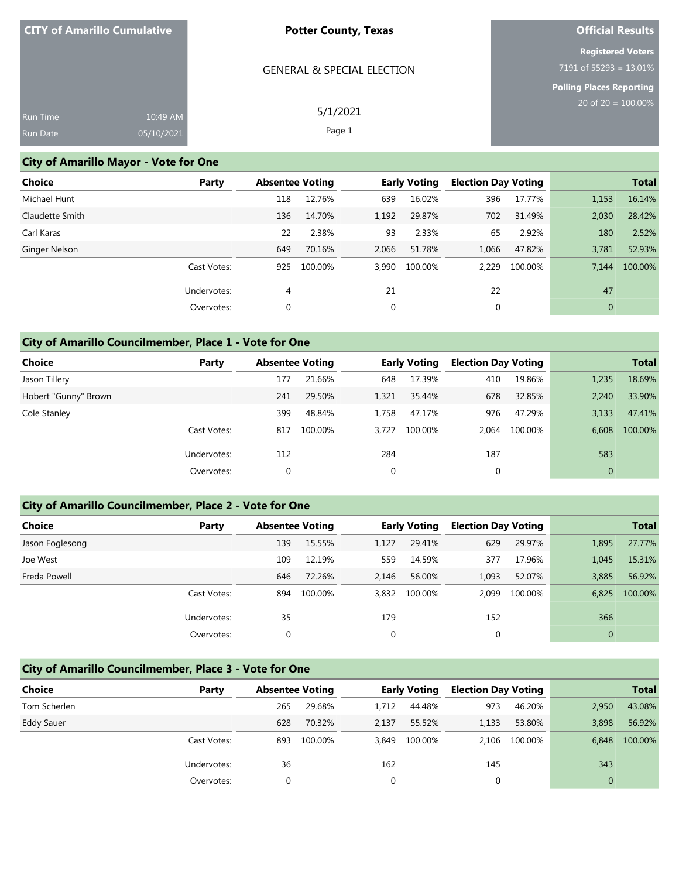|                 | <b>CITY of Amarillo Cumulative</b> | <b>Potter County, Texas</b>           | <b>Official Results</b>                                  |
|-----------------|------------------------------------|---------------------------------------|----------------------------------------------------------|
|                 |                                    | <b>GENERAL &amp; SPECIAL ELECTION</b> | <b>Registered Voters</b><br>7191 of 55293 = $13.01\%$    |
|                 |                                    |                                       | <b>Polling Places Reporting</b><br>20 of $20 = 100.00\%$ |
| <b>Run Time</b> | 10:49 AM                           | 5/1/2021                              |                                                          |
| Run Date        | 05/10/2021                         | Page 1                                |                                                          |

### **City of Amarillo Mayor - Vote for One**

| Choice          | Party       | <b>Absentee Voting</b> |         |       | <b>Early Voting</b> | <b>Election Day Voting</b> |         |              | <b>Total</b> |
|-----------------|-------------|------------------------|---------|-------|---------------------|----------------------------|---------|--------------|--------------|
| Michael Hunt    |             | 118                    | 12.76%  | 639   | 16.02%              | 396                        | 17.77%  | 1,153        | 16.14%       |
| Claudette Smith |             | 136                    | 14.70%  | 1,192 | 29.87%              | 702                        | 31.49%  | 2,030        | 28.42%       |
| Carl Karas      |             | 22                     | 2.38%   | 93    | 2.33%               | 65                         | 2.92%   | 180          | 2.52%        |
| Ginger Nelson   |             | 649                    | 70.16%  | 2,066 | 51.78%              | 1,066                      | 47.82%  | 3,781        | 52.93%       |
|                 | Cast Votes: | 925                    | 100.00% | 3.990 | 100.00%             | 2.229                      | 100.00% | 7.144        | 100.00%      |
|                 | Undervotes: | 4                      |         | 21    |                     | 22                         |         | 47           |              |
|                 | Overvotes:  | 0                      |         | 0     |                     | 0                          |         | $\mathbf{0}$ |              |

## **City of Amarillo Councilmember, Place 1 - Vote for One**

| Choice               | Party       | <b>Absentee Voting</b> |         |       | <b>Early Voting</b> |       | <b>Election Day Voting</b> |              | <b>Total</b> |
|----------------------|-------------|------------------------|---------|-------|---------------------|-------|----------------------------|--------------|--------------|
| Jason Tillery        |             | 177                    | 21.66%  | 648   | 17.39%              | 410   | 19.86%                     | 1,235        | 18.69%       |
| Hobert "Gunny" Brown |             | 241                    | 29.50%  | 1,321 | 35.44%              | 678   | 32.85%                     | 2.240        | 33.90%       |
| Cole Stanley         |             | 399                    | 48.84%  | 1.758 | 47.17%              | 976   | 47.29%                     | 3,133        | 47.41%       |
|                      | Cast Votes: | 817                    | 100.00% | 3.727 | 100.00%             | 2.064 | 100.00%                    | 6.608        | 100.00%      |
|                      | Undervotes: | 112                    |         | 284   |                     | 187   |                            | 583          |              |
|                      | Overvotes:  | 0                      |         | 0     |                     | 0     |                            | $\mathbf{0}$ |              |

### **City of Amarillo Councilmember, Place 2 - Vote for One**

| <b>Choice</b>   | Party       | <b>Absentee Voting</b> |         |       | <b>Early Voting</b> |       | <b>Election Day Voting</b> |              | <b>Total</b> |
|-----------------|-------------|------------------------|---------|-------|---------------------|-------|----------------------------|--------------|--------------|
| Jason Foglesong |             | 139                    | 15.55%  | 1,127 | 29.41%              | 629   | 29.97%                     | 1,895        | 27.77%       |
| Joe West        |             | 109                    | 12.19%  | 559   | 14.59%              | 377   | 17.96%                     | 1.045        | 15.31%       |
| Freda Powell    |             | 646                    | 72.26%  | 2.146 | 56.00%              | 1,093 | 52.07%                     | 3,885        | 56.92%       |
|                 | Cast Votes: | 894                    | 100.00% | 3,832 | 100.00%             | 2.099 | 100.00%                    | 6.825        | 100.00%      |
|                 | Undervotes: | 35                     |         | 179   |                     | 152   |                            | 366          |              |
|                 | Overvotes:  | 0                      |         | 0     |                     | 0     |                            | $\mathbf{0}$ |              |

#### **City of Amarillo Councilmember, Place 3 - Vote for One**

| Choice            | Party       | <b>Absentee Voting</b> |         | <b>Early Voting</b> |         | <b>Election Day Voting</b> |         | <b>Total</b> |         |
|-------------------|-------------|------------------------|---------|---------------------|---------|----------------------------|---------|--------------|---------|
| Tom Scherlen      |             | 265                    | 29.68%  | 1.712               | 44.48%  | 973                        | 46.20%  | 2,950        | 43.08%  |
| <b>Eddy Sauer</b> |             | 628                    | 70.32%  | 2,137               | 55.52%  | 1,133                      | 53.80%  | 3,898        | 56.92%  |
|                   | Cast Votes: | 893                    | 100.00% | 3.849               | 100.00% | 2.106                      | 100.00% | 6.848        | 100.00% |
|                   | Undervotes: | 36                     |         | 162                 |         | 145                        |         | 343          |         |
|                   | Overvotes:  |                        |         | $\Omega$            |         |                            |         |              |         |